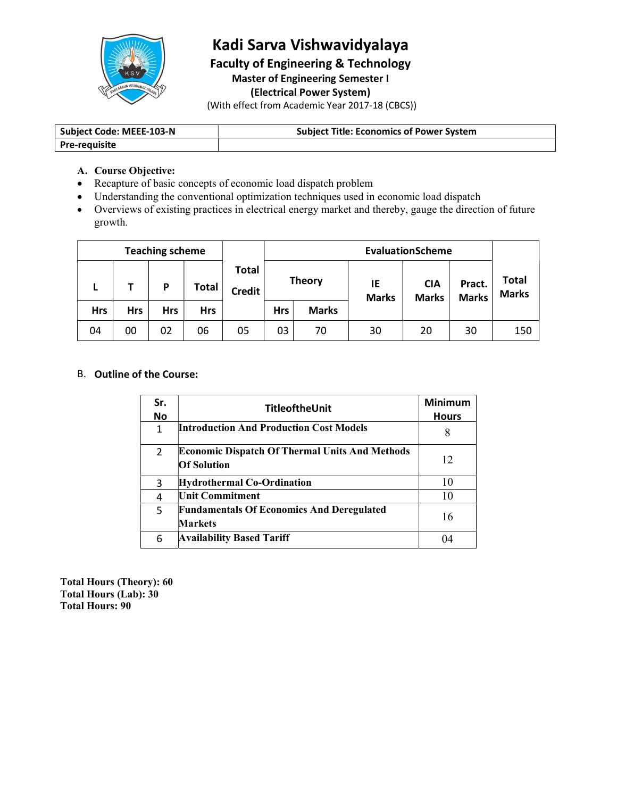

## Kadi Sarva Vishwavidyalaya

Faculty of Engineering & Technology Master of Engineering Semester I (Electrical Power System)

(With effect from Academic Year 2017-18 (CBCS))

| <b>Subject Code: MEEE-103-N</b> | t Title: Economics of Power System<br>subiect - |  |
|---------------------------------|-------------------------------------------------|--|
| <b>Pre-requisite</b>            |                                                 |  |

#### A. Course Objective:

- Recapture of basic concepts of economic load dispatch problem
- Understanding the conventional optimization techniques used in economic load dispatch
- Overviews of existing practices in electrical energy market and thereby, gauge the direction of future growth.

|            |            | <b>Teaching scheme</b> |            |                 | <b>EvaluationScheme</b> |               |                    |                            |                        |                              |
|------------|------------|------------------------|------------|-----------------|-------------------------|---------------|--------------------|----------------------------|------------------------|------------------------------|
| ь          |            | P                      | Total      | Total<br>Credit |                         | <b>Theory</b> | IE<br><b>Marks</b> | <b>CIA</b><br><b>Marks</b> | Pract.<br><b>Marks</b> | <b>Total</b><br><b>Marks</b> |
| <b>Hrs</b> | <b>Hrs</b> | <b>Hrs</b>             | <b>Hrs</b> |                 | <b>Hrs</b>              | <b>Marks</b>  |                    |                            |                        |                              |
| 04         | 00         | 02                     | 06         | 05              | 03                      | 70            | 30                 | 20                         | 30                     | 150                          |

#### B. Outline of the Course:

| Sr.<br>No | <b>TitleoftheUnit</b>                                                       | <b>Minimum</b><br><b>Hours</b> |
|-----------|-----------------------------------------------------------------------------|--------------------------------|
|           | <b>Introduction And Production Cost Models</b>                              | 8                              |
| 2         | <b>Economic Dispatch Of Thermal Units And Methods</b><br><b>Of Solution</b> | 12                             |
| 3         | <b>Hydrothermal Co-Ordination</b>                                           | 10                             |
| 4         | <b>Unit Commitment</b>                                                      | 10                             |
| 5         | <b>Fundamentals Of Economics And Deregulated</b><br><b>Markets</b>          | 16                             |
| 6         | <b>Availability Based Tariff</b>                                            | 04                             |

Total Hours (Theory): 60 Total Hours (Lab): 30 Total Hours: 90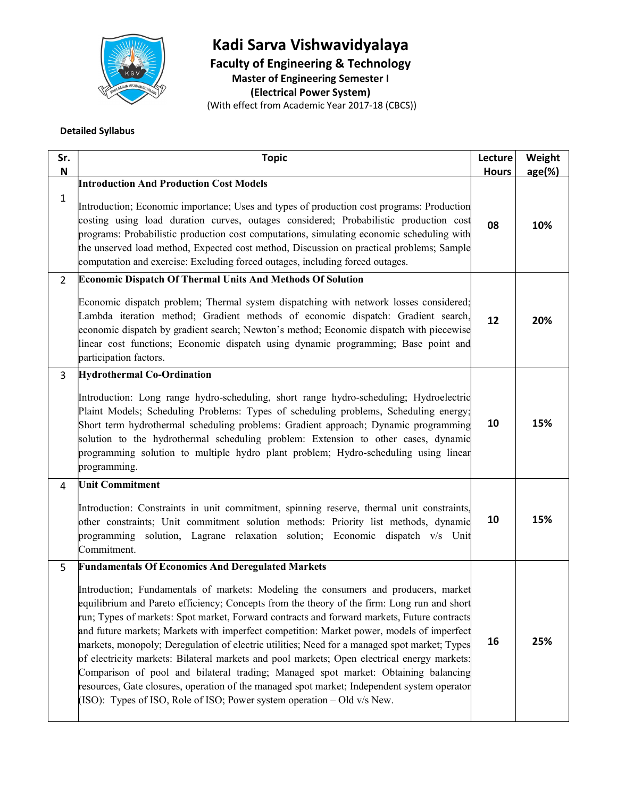

# Kadi Sarva Vishwavidyalaya

Faculty of Engineering & Technology

Master of Engineering Semester I

(Electrical Power System)

(With effect from Academic Year 2017-18 (CBCS))

#### Detailed Syllabus

| Sr.            | <b>Topic</b>                                                                                                                                                                                                                                                                                                                                                                                                                                                                                                                                                                                                                                                                                                                                                                                                                                                                                              | Lecture      | Weight    |  |
|----------------|-----------------------------------------------------------------------------------------------------------------------------------------------------------------------------------------------------------------------------------------------------------------------------------------------------------------------------------------------------------------------------------------------------------------------------------------------------------------------------------------------------------------------------------------------------------------------------------------------------------------------------------------------------------------------------------------------------------------------------------------------------------------------------------------------------------------------------------------------------------------------------------------------------------|--------------|-----------|--|
| N              |                                                                                                                                                                                                                                                                                                                                                                                                                                                                                                                                                                                                                                                                                                                                                                                                                                                                                                           | <b>Hours</b> | $age(\%)$ |  |
| $\mathbf{1}$   | <b>Introduction And Production Cost Models</b><br>Introduction; Economic importance; Uses and types of production cost programs: Production<br>costing using load duration curves, outages considered; Probabilistic production cost<br>programs: Probabilistic production cost computations, simulating economic scheduling with<br>the unserved load method, Expected cost method, Discussion on practical problems; Sample<br>computation and exercise: Excluding forced outages, including forced outages.                                                                                                                                                                                                                                                                                                                                                                                            | 08           | 10%       |  |
| $\overline{2}$ | <b>Economic Dispatch Of Thermal Units And Methods Of Solution</b><br>Economic dispatch problem; Thermal system dispatching with network losses considered;<br>Lambda iteration method; Gradient methods of economic dispatch: Gradient search,<br>economic dispatch by gradient search; Newton's method; Economic dispatch with piecewise<br>linear cost functions; Economic dispatch using dynamic programming; Base point and<br>participation factors.                                                                                                                                                                                                                                                                                                                                                                                                                                                 | 12           | 20%       |  |
| 3              | <b>Hydrothermal Co-Ordination</b><br>Introduction: Long range hydro-scheduling, short range hydro-scheduling; Hydroelectric<br>Plaint Models; Scheduling Problems: Types of scheduling problems, Scheduling energy;<br>Short term hydrothermal scheduling problems: Gradient approach; Dynamic programming<br>solution to the hydrothermal scheduling problem: Extension to other cases, dynamic<br>programming solution to multiple hydro plant problem; Hydro-scheduling using linear<br>programming.                                                                                                                                                                                                                                                                                                                                                                                                   | 10           | 15%       |  |
| 4              | <b>Unit Commitment</b><br>Introduction: Constraints in unit commitment, spinning reserve, thermal unit constraints,<br>other constraints; Unit commitment solution methods: Priority list methods, dynamic<br>programming solution, Lagrane relaxation solution; Economic dispatch v/s Unit<br>Commitment.                                                                                                                                                                                                                                                                                                                                                                                                                                                                                                                                                                                                | 10           | 15%       |  |
| 5              | <b>Fundamentals Of Economics And Deregulated Markets</b><br>Introduction; Fundamentals of markets: Modeling the consumers and producers, market<br>equilibrium and Pareto efficiency; Concepts from the theory of the firm: Long run and short<br>run; Types of markets: Spot market, Forward contracts and forward markets, Future contracts<br>and future markets; Markets with imperfect competition: Market power, models of imperfect<br>markets, monopoly; Deregulation of electric utilities; Need for a managed spot market; Types<br>of electricity markets: Bilateral markets and pool markets; Open electrical energy markets:<br>Comparison of pool and bilateral trading; Managed spot market: Obtaining balancing<br>resources, Gate closures, operation of the managed spot market; Independent system operator<br>(ISO): Types of ISO, Role of ISO; Power system operation – Old v/s New. | 16           | 25%       |  |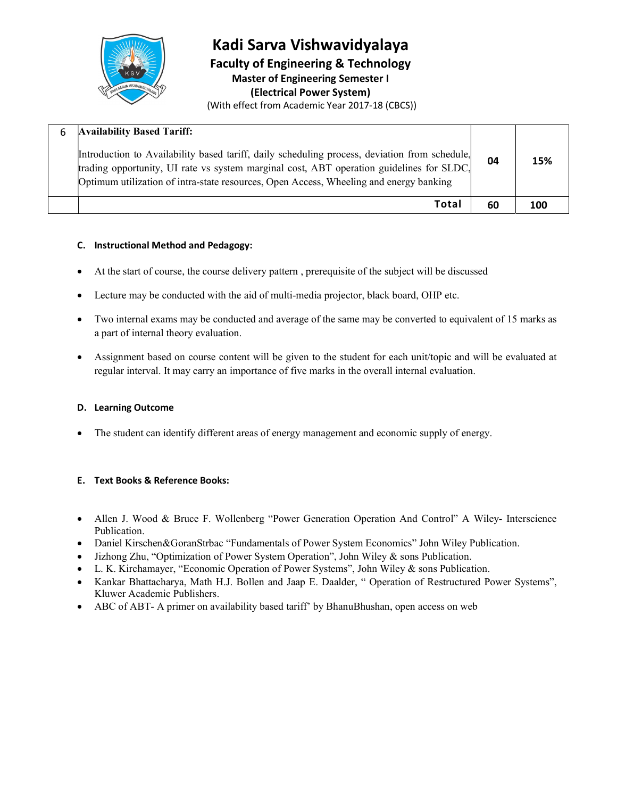

Kadi Sarva Vishwavidyalaya Faculty of Engineering & Technology Master of Engineering Semester I (Electrical Power System) (With effect from Academic Year 2017-18 (CBCS))

| <b>Availability Based Tariff:</b><br>Introduction to Availability based tariff, daily scheduling process, deviation from schedule,<br>trading opportunity, UI rate vs system marginal cost, ABT operation guidelines for SLDC,<br>Optimum utilization of intra-state resources, Open Access, Wheeling and energy banking | 04 | 15% |
|--------------------------------------------------------------------------------------------------------------------------------------------------------------------------------------------------------------------------------------------------------------------------------------------------------------------------|----|-----|
| Total                                                                                                                                                                                                                                                                                                                    | 60 | 100 |

#### C. Instructional Method and Pedagogy:

- At the start of course, the course delivery pattern , prerequisite of the subject will be discussed
- Lecture may be conducted with the aid of multi-media projector, black board, OHP etc.
- Two internal exams may be conducted and average of the same may be converted to equivalent of 15 marks as a part of internal theory evaluation.
- Assignment based on course content will be given to the student for each unit/topic and will be evaluated at regular interval. It may carry an importance of five marks in the overall internal evaluation.

#### D. Learning Outcome

The student can identify different areas of energy management and economic supply of energy.

#### E. Text Books & Reference Books:

- Allen J. Wood & Bruce F. Wollenberg "Power Generation Operation And Control" A Wiley- Interscience Publication.
- Daniel Kirschen&GoranStrbac "Fundamentals of Power System Economics" John Wiley Publication.
- Jizhong Zhu, "Optimization of Power System Operation", John Wiley & sons Publication.
- L. K. Kirchamayer, "Economic Operation of Power Systems", John Wiley & sons Publication.
- Kankar Bhattacharya, Math H.J. Bollen and Jaap E. Daalder, " Operation of Restructured Power Systems", Kluwer Academic Publishers.
- ABC of ABT- A primer on availability based tariff' by BhanuBhushan, open access on web